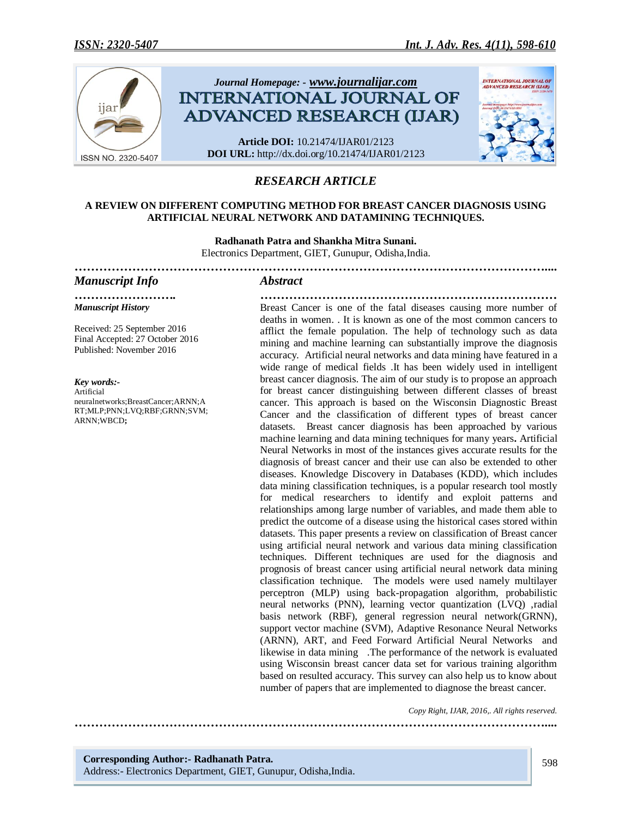

# *RESEARCH ARTICLE*

#### **A REVIEW ON DIFFERENT COMPUTING METHOD FOR BREAST CANCER DIAGNOSIS USING ARTIFICIAL NEURAL NETWORK AND DATAMINING TECHNIQUES.**

**Radhanath Patra and Shankha Mitra Sunani.** Electronics Department, GIET, Gunupur, Odisha,India. *……………………………………………………………………………………………………....*

*……………………. ………………………………………………………………*

#### *Manuscript Info Abstract*

*Manuscript History*

Received: 25 September 2016 Final Accepted: 27 October 2016 Published: November 2016

*Key words:-* Artificial neuralnetworks;BreastCancer;ARNN;A RT;MLP;PNN;LVQ;RBF;GRNN;SVM; ARNN;WBCD**;**

Breast Cancer is one of the fatal diseases causing more number of deaths in women. . It is known as one of the most common cancers to afflict the female population. The help of technology such as data mining and machine learning can substantially improve the diagnosis accuracy. Artificial neural networks and data mining have featured in a wide range of medical fields .It has been widely used in intelligent breast cancer diagnosis. The aim of our study is to propose an approach for breast cancer distinguishing between different classes of breast cancer. This approach is based on the Wisconsin Diagnostic Breast Cancer and the classification of different types of breast cancer datasets. Breast cancer diagnosis has been approached by various machine learning and data mining techniques for many years**.** Artificial Neural Networks in most of the instances gives accurate results for the diagnosis of breast cancer and their use can also be extended to other diseases. Knowledge Discovery in Databases (KDD), which includes data mining classification techniques, is a popular research tool mostly for medical researchers to identify and exploit patterns and relationships among large number of variables, and made them able to predict the outcome of a disease using the historical cases stored within datasets. This paper presents a review on classification of Breast cancer using artificial neural network and various data mining classification techniques. Different techniques are used for the diagnosis and prognosis of breast cancer using artificial neural network data mining classification technique. The models were used namely multilayer perceptron (MLP) using back-propagation algorithm, probabilistic neural networks (PNN), learning vector quantization (LVQ) ,radial basis network (RBF), general regression neural network(GRNN), support vector machine (SVM), Adaptive Resonance Neural Networks (ARNN), ART, and Feed Forward Artificial Neural Networks and likewise in data mining .The performance of the network is evaluated using Wisconsin breast cancer data set for various training algorithm based on resulted accuracy. This survey can also help us to know about number of papers that are implemented to diagnose the breast cancer.

*……………………………………………………………………………………………………....*

 *Copy Right, IJAR, 2016,. All rights reserved.*

**Corresponding Author:- Radhanath Patra.** Address:- Electronics Department, GIET, Gunupur, Odisha,India.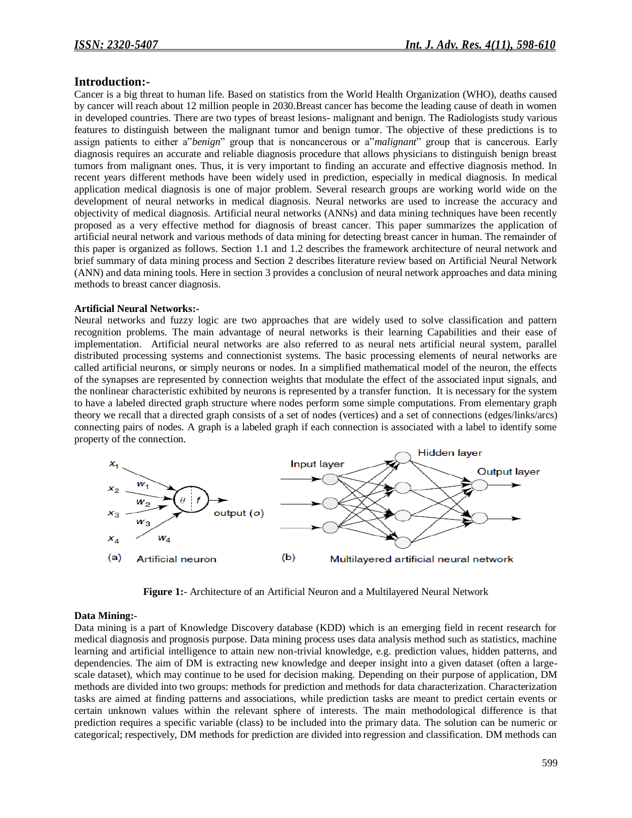### **Introduction:-**

Cancer is a big threat to human life. Based on statistics from the World Health Organization (WHO), deaths caused by cancer will reach about 12 million people in 2030.Breast cancer has become the leading cause of death in women in developed countries. There are two types of breast lesions- malignant and benign. The Radiologists study various features to distinguish between the malignant tumor and benign tumor. The objective of these predictions is to assign patients to either a"*benign*" group that is noncancerous or a"*malignant*" group that is cancerous. Early diagnosis requires an accurate and reliable diagnosis procedure that allows physicians to distinguish benign breast tumors from malignant ones. Thus, it is very important to finding an accurate and effective diagnosis method. In recent years different methods have been widely used in prediction, especially in medical diagnosis. In medical application medical diagnosis is one of major problem. Several research groups are working world wide on the development of neural networks in medical diagnosis. Neural networks are used to increase the accuracy and objectivity of medical diagnosis. Artificial neural networks (ANNs) and data mining techniques have been recently proposed as a very effective method for diagnosis of breast cancer. This paper summarizes the application of artificial neural network and various methods of data mining for detecting breast cancer in human. The remainder of this paper is organized as follows. Section 1.1 and 1.2 describes the framework architecture of neural network and brief summary of data mining process and Section 2 describes literature review based on Artificial Neural Network (ANN) and data mining tools. Here in section 3 provides a conclusion of neural network approaches and data mining methods to breast cancer diagnosis.

#### **Artificial Neural Networks:-**

Neural networks and fuzzy logic are two approaches that are widely used to solve classification and pattern recognition problems. The main advantage of neural networks is their learning Capabilities and their ease of implementation. Artificial neural networks are also referred to as neural nets artificial neural system, parallel distributed processing systems and connectionist systems. The basic processing elements of neural networks are called artificial neurons, or simply neurons or nodes. In a simplified mathematical model of the neuron, the effects of the synapses are represented by connection weights that modulate the effect of the associated input signals, and the nonlinear characteristic exhibited by neurons is represented by a transfer function. It is necessary for the system to have a labeled directed graph structure where nodes perform some simple computations. From elementary graph theory we recall that a directed graph consists of a set of nodes (vertices) and a set of connections (edges/links/arcs) connecting pairs of nodes. A graph is a labeled graph if each connection is associated with a label to identify some property of the connection.



**Figure 1:**- Architecture of an Artificial Neuron and a Multilayered Neural Network

#### **Data Mining:-**

Data mining is a part of Knowledge Discovery database (KDD) which is an emerging field in recent research for medical diagnosis and prognosis purpose. Data mining process uses data analysis method such as statistics, machine learning and artificial intelligence to attain new non-trivial knowledge, e.g. prediction values, hidden patterns, and dependencies. The aim of DM is extracting new knowledge and deeper insight into a given dataset (often a largescale dataset), which may continue to be used for decision making. Depending on their purpose of application, DM methods are divided into two groups: methods for prediction and methods for data characterization. Characterization tasks are aimed at finding patterns and associations, while prediction tasks are meant to predict certain events or certain unknown values within the relevant sphere of interests. The main methodological difference is that prediction requires a specific variable (class) to be included into the primary data. The solution can be numeric or categorical; respectively, DM methods for prediction are divided into regression and classification. DM methods can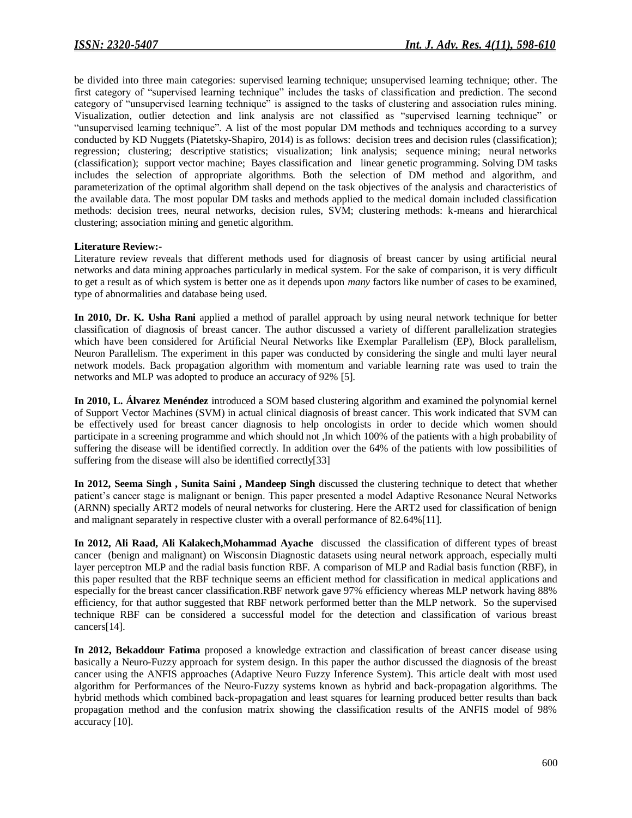be divided into three main categories: supervised learning technique; unsupervised learning technique; other. The first category of "supervised learning technique" includes the tasks of classification and prediction. The second category of "unsupervised learning technique" is assigned to the tasks of clustering and association rules mining. Visualization, outlier detection and link analysis are not classified as "supervised learning technique" or "unsupervised learning technique". A list of the most popular DM methods and techniques according to a survey conducted by KD Nuggets (Piatetsky-Shapiro, 2014) is as follows: decision trees and decision rules (classification); regression; clustering; descriptive statistics; visualization; link analysis; sequence mining; neural networks (classification); support vector machine; Bayes classification and linear genetic programming. Solving DM tasks includes the selection of appropriate algorithms. Both the selection of DM method and algorithm, and parameterization of the optimal algorithm shall depend on the task objectives of the analysis and characteristics of the available data. The most popular DM tasks and methods applied to the medical domain included classification methods: decision trees, neural networks, decision rules, SVM; clustering methods: k-means and hierarchical clustering; association mining and genetic algorithm.

#### **Literature Review:-**

Literature review reveals that different methods used for diagnosis of breast cancer by using artificial neural networks and data mining approaches particularly in medical system. For the sake of comparison, it is very difficult to get a result as of which system is better one as it depends upon *many* factors like number of cases to be examined, type of abnormalities and database being used.

**In 2010, Dr. K. Usha Rani** applied a method of parallel approach by using neural network technique for better classification of diagnosis of breast cancer. The author discussed a variety of different parallelization strategies which have been considered for Artificial Neural Networks like Exemplar Parallelism (EP), Block parallelism, Neuron Parallelism. The experiment in this paper was conducted by considering the single and multi layer neural network models. Back propagation algorithm with momentum and variable learning rate was used to train the networks and MLP was adopted to produce an accuracy of 92% [5].

**In 2010, L. Álvarez Menéndez** introduced a SOM based clustering algorithm and examined the polynomial kernel of Support Vector Machines (SVM) in actual clinical diagnosis of breast cancer. This work indicated that SVM can be effectively used for breast cancer diagnosis to help oncologists in order to decide which women should participate in a screening programme and which should not ,In which 100% of the patients with a high probability of suffering the disease will be identified correctly. In addition over the 64% of the patients with low possibilities of suffering from the disease will also be identified correctly[33]

**In 2012, Seema Singh , Sunita Saini , Mandeep Singh** discussed the clustering technique to detect that whether patient's cancer stage is malignant or benign. This paper presented a model Adaptive Resonance Neural Networks (ARNN) specially ART2 models of neural networks for clustering. Here the ART2 used for classification of benign and malignant separately in respective cluster with a overall performance of 82.64%[11].

**In 2012, Ali Raad, Ali Kalakech,Mohammad Ayache** discussed the classification of different types of breast cancer (benign and malignant) on Wisconsin Diagnostic datasets using neural network approach, especially multi layer perceptron MLP and the radial basis function RBF*.* A comparison of MLP and Radial basis function (RBF), in this paper resulted that the RBF technique seems an efficient method for classification in medical applications and especially for the breast cancer classification.RBF network gave 97% efficiency whereas MLP network having 88% efficiency, for that author suggested that RBF network performed better than the MLP network. So the supervised technique RBF can be considered a successful model for the detection and classification of various breast cancers[14].

**In 2012, Bekaddour Fatima** proposed a knowledge extraction and classification of breast cancer disease using basically a Neuro-Fuzzy approach for system design. In this paper the author discussed the diagnosis of the breast cancer using the ANFIS approaches (Adaptive Neuro Fuzzy Inference System). This article dealt with most used algorithm for Performances of the Neuro-Fuzzy systems known as hybrid and back-propagation algorithms. The hybrid methods which combined back-propagation and least squares for learning produced better results than back propagation method and the confusion matrix showing the classification results of the ANFIS model of 98% accuracy [10].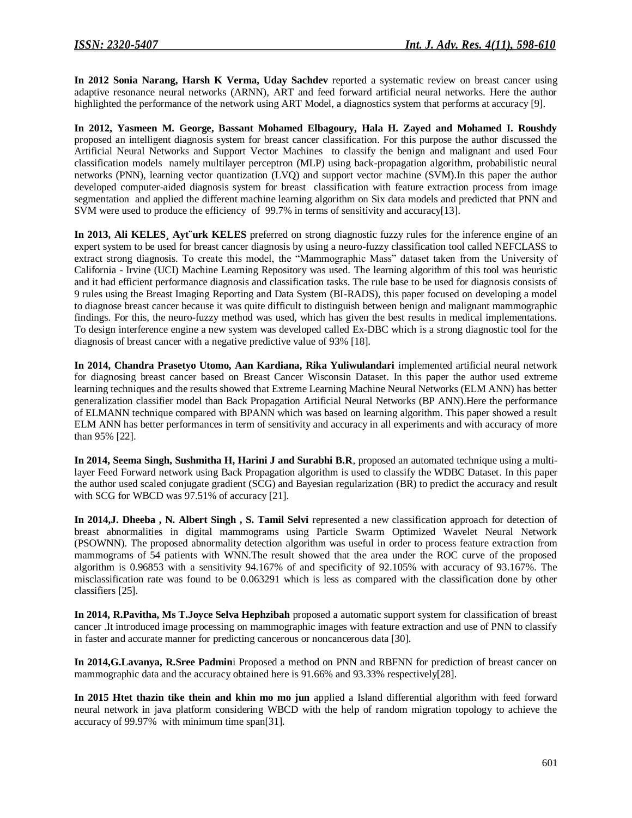**In 2012 Sonia Narang, Harsh K Verma, Uday Sachdev** reported a systematic review on breast cancer using adaptive resonance neural networks (ARNN), ART and feed forward artificial neural networks. Here the author highlighted the performance of the network using ART Model, a diagnostics system that performs at accuracy [9].

**In 2012, Yasmeen M. George, Bassant Mohamed Elbagoury, Hala H. Zayed and Mohamed I. Roushdy** proposed an intelligent diagnosis system for breast cancer classification. For this purpose the author discussed the Artificial Neural Networks and Support Vector Machines to classify the benign and malignant and used Four classification models namely multilayer perceptron (MLP) using back-propagation algorithm, probabilistic neural networks (PNN), learning vector quantization (LVQ) and support vector machine (SVM).In this paper the author developed computer-aided diagnosis system for breast classification with feature extraction process from image segmentation and applied the different machine learning algorithm on Six data models and predicted that PNN and SVM were used to produce the efficiency of 99.7% in terms of sensitivity and accuracy[13].

**In 2013, Ali KELES¸ Ayt¨urk KELES** preferred on strong diagnostic fuzzy rules for the inference engine of an expert system to be used for breast cancer diagnosis by using a neuro-fuzzy classification tool called NEFCLASS to extract strong diagnosis. To create this model, the "Mammographic Mass" dataset taken from the University of California - Irvine (UCI) Machine Learning Repository was used. The learning algorithm of this tool was heuristic and it had efficient performance diagnosis and classification tasks. The rule base to be used for diagnosis consists of 9 rules using the Breast Imaging Reporting and Data System (BI-RADS), this paper focused on developing a model to diagnose breast cancer because it was quite difficult to distinguish between benign and malignant mammographic findings. For this, the neuro-fuzzy method was used, which has given the best results in medical implementations. To design interference engine a new system was developed called Ex-DBC which is a strong diagnostic tool for the diagnosis of breast cancer with a negative predictive value of 93% [18].

**In 2014, Chandra Prasetyo Utomo, Aan Kardiana, Rika Yuliwulandari** implemented artificial neural network for diagnosing breast cancer based on Breast Cancer Wisconsin Dataset. In this paper the author used extreme learning techniques and the results showed that Extreme Learning Machine Neural Networks (ELM ANN) has better generalization classifier model than Back Propagation Artificial Neural Networks (BP ANN).Here the performance of ELMANN technique compared with BPANN which was based on learning algorithm. This paper showed a result ELM ANN has better performances in term of sensitivity and accuracy in all experiments and with accuracy of more than 95% [22].

**In 2014, Seema Singh, Sushmitha H, Harini J and Surabhi B.R**, proposed an automated technique using a multilayer Feed Forward network using Back Propagation algorithm is used to classify the WDBC Dataset. In this paper the author used scaled conjugate gradient (SCG) and Bayesian regularization (BR) to predict the accuracy and result with SCG for WBCD was 97.51% of accuracy [21].

**In 2014,J. Dheeba , N. Albert Singh , S. Tamil Selvi** represented a new classification approach for detection of breast abnormalities in digital mammograms using Particle Swarm Optimized Wavelet Neural Network (PSOWNN). The proposed abnormality detection algorithm was useful in order to process feature extraction from mammograms of 54 patients with WNN.The result showed that the area under the ROC curve of the proposed algorithm is 0.96853 with a sensitivity 94.167% of and specificity of 92.105% with accuracy of 93.167%. The misclassification rate was found to be 0.063291 which is less as compared with the classification done by other classifiers [25].

**In 2014, R.Pavitha, Ms T.Joyce Selva Hephzibah** proposed a automatic support system for classification of breast cancer .It introduced image processing on mammographic images with feature extraction and use of PNN to classify in faster and accurate manner for predicting cancerous or noncancerous data [30].

**In 2014,G.Lavanya, R.Sree Padmin**i Proposed a method on PNN and RBFNN for prediction of breast cancer on mammographic data and the accuracy obtained here is 91.66% and 93.33% respectively[28].

**In 2015 Htet thazin tike thein and khin mo mo jun** applied a Island differential algorithm with feed forward neural network in java platform considering WBCD with the help of random migration topology to achieve the accuracy of 99.97% with minimum time span[31].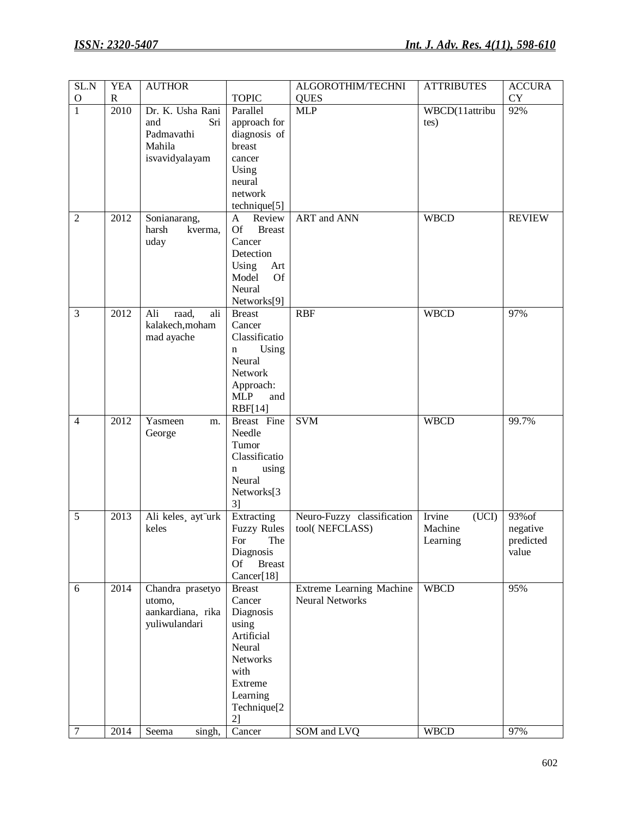| SL.N           | <b>YEA</b>   | <b>AUTHOR</b>                                                                       |                                                                                                                                                             | ALGOROTHIM/TECHNI                                                 | <b>ATTRIBUTES</b>                      | <b>ACCURA</b>                                             |
|----------------|--------------|-------------------------------------------------------------------------------------|-------------------------------------------------------------------------------------------------------------------------------------------------------------|-------------------------------------------------------------------|----------------------------------------|-----------------------------------------------------------|
| $\mathcal{O}$  | $\mathbb{R}$ |                                                                                     | <b>TOPIC</b>                                                                                                                                                | <b>QUES</b>                                                       |                                        | <b>CY</b>                                                 |
| $\mathbf{1}$   | 2010         | Dr. K. Usha Rani<br>and<br>Sri<br>Padmavathi<br>Mahila<br>isvavidyalayam            | Parallel<br>approach for<br>diagnosis of<br>breast<br>cancer<br>Using<br>neural<br>network<br>technique <sup>[5]</sup>                                      | <b>MLP</b>                                                        | WBCD(11attribu<br>tes)                 | 92%                                                       |
| $\overline{2}$ | 2012         | Sonianarang,<br>harsh<br>kverma,<br>uday                                            | Review<br>A<br><b>Of</b><br><b>Breast</b><br>Cancer<br>Detection<br>Using<br>Art<br>Model<br><b>Of</b><br>Neural<br>Networks[9]                             | <b>ART</b> and <b>ANN</b>                                         | <b>WBCD</b>                            | <b>REVIEW</b>                                             |
| 3              | 2012         | Ali<br>raad,<br>ali<br>kalakech, moham<br>mad ayache                                | <b>Breast</b><br>Cancer<br>Classificatio<br>Using<br>$\mathbf n$<br>Neural<br>Network<br>Approach:<br><b>MLP</b><br>and<br><b>RBF[14]</b>                   | <b>RBF</b>                                                        | <b>WBCD</b>                            | 97%                                                       |
| $\overline{4}$ | 2012         | Yasmeen<br>m.<br>George                                                             | Breast Fine<br>Needle<br>Tumor<br>Classificatio<br>using<br>$\mathbf n$<br>Neural<br>Networks[3<br>3 <sup>1</sup>                                           | <b>SVM</b>                                                        | <b>WBCD</b>                            | 99.7%                                                     |
| 5              | 2013         | Ali keles, ayt urk<br>keles                                                         | Extracting<br><b>Fuzzy Rules</b><br>For The<br>Diagnosis<br><b>Of</b><br><b>Breast</b><br>Cancer[18]                                                        | Neuro-Fuzzy classification<br>tool(NEFCLASS)                      | Irvine<br>(UCI)<br>Machine<br>Learning | 93% of<br>negative<br>$\operatorname{predicted}$<br>value |
| 6<br>$\tau$    | 2014<br>2014 | Chandra prasetyo<br>utomo,<br>aankardiana, rika<br>yuliwulandari<br>Seema<br>singh, | <b>Breast</b><br>Cancer<br>Diagnosis<br>using<br>Artificial<br>Neural<br>Networks<br>with<br>Extreme<br>Learning<br>Technique <sup>[2]</sup><br>2<br>Cancer | Extreme Learning Machine<br><b>Neural Networks</b><br>SOM and LVQ | <b>WBCD</b><br><b>WBCD</b>             | 95%<br>97%                                                |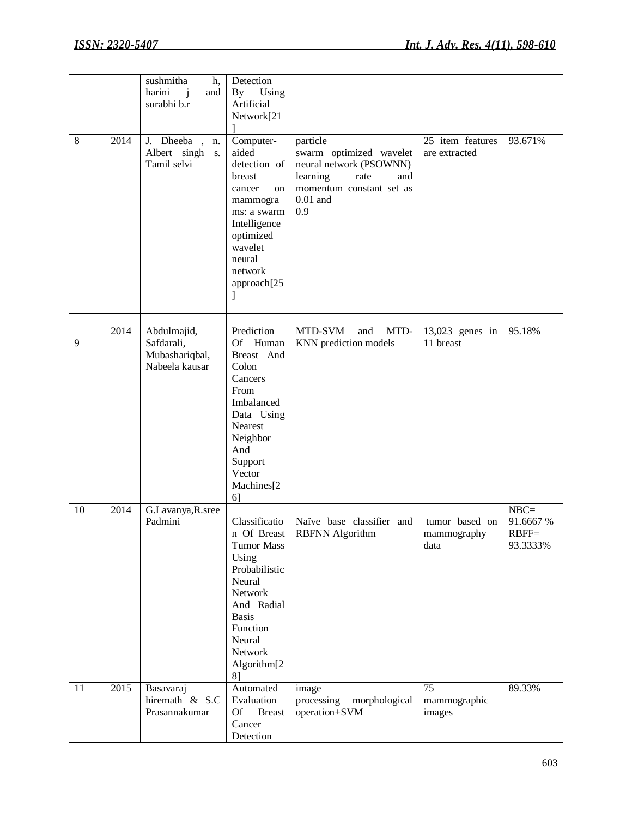| 8  | 2014 | sushmitha<br>h,<br>harini<br>$\mathbf{i}$<br>and<br>surabhi b.r<br>J. Dheeba<br>n.<br>Albert singh<br><b>S.</b><br>Tamil selvi | Detection<br>By<br>Using<br>Artificial<br>Network[21<br>Computer-<br>aided<br>detection of<br>breast<br>cancer<br>on<br>mammogra<br>ms: a swarm<br>Intelligence<br>optimized<br>wavelet<br>neural<br>network<br>approach[25]<br>J | particle<br>swarm optimized wavelet<br>neural network (PSOWNN)<br>learning<br>rate<br>and<br>momentum constant set as<br>$0.01$ and<br>0.9 | 25 item features<br>are extracted              | 93.671%                                    |
|----|------|--------------------------------------------------------------------------------------------------------------------------------|-----------------------------------------------------------------------------------------------------------------------------------------------------------------------------------------------------------------------------------|--------------------------------------------------------------------------------------------------------------------------------------------|------------------------------------------------|--------------------------------------------|
| 9  | 2014 | Abdulmajid,<br>Safdarali,<br>Mubashariqbal,<br>Nabeela kausar                                                                  | Prediction<br>Of Human<br>Breast And<br>Colon<br>Cancers<br>From<br>Imbalanced<br>Data Using<br>Nearest<br>Neighbor<br>And<br>Support<br>Vector<br>Machines <sup>[2]</sup><br>6]                                                  | MTD-SVM<br>MTD-<br>and<br>KNN prediction models                                                                                            | 13,023 genes in<br>11 breast                   | 95.18%                                     |
| 10 | 2014 | G.Lavanya, R.sree<br>Padmini                                                                                                   | Classificatio<br>n Of Breast<br><b>Tumor Mass</b><br>Using<br>Probabilistic<br>Neural<br>Network<br>And Radial<br><b>Basis</b><br>Function<br>Neural<br>Network<br>Algorithm <sup>[2]</sup><br>8]                                 | Naïve base classifier and<br>RBFNN Algorithm                                                                                               | tumor based on<br>$\mbox{mammography}$<br>data | $NBC=$<br>91.6667 %<br>$RBFF=$<br>93.3333% |
| 11 | 2015 | Basavaraj<br>hiremath & S.C<br>Prasannakumar                                                                                   | Automated<br>Evaluation<br><b>Of</b><br><b>Breast</b><br>Cancer<br>Detection                                                                                                                                                      | image<br>processing<br>morphological<br>operation+SVM                                                                                      | 75<br>mammographic<br>images                   | 89.33%                                     |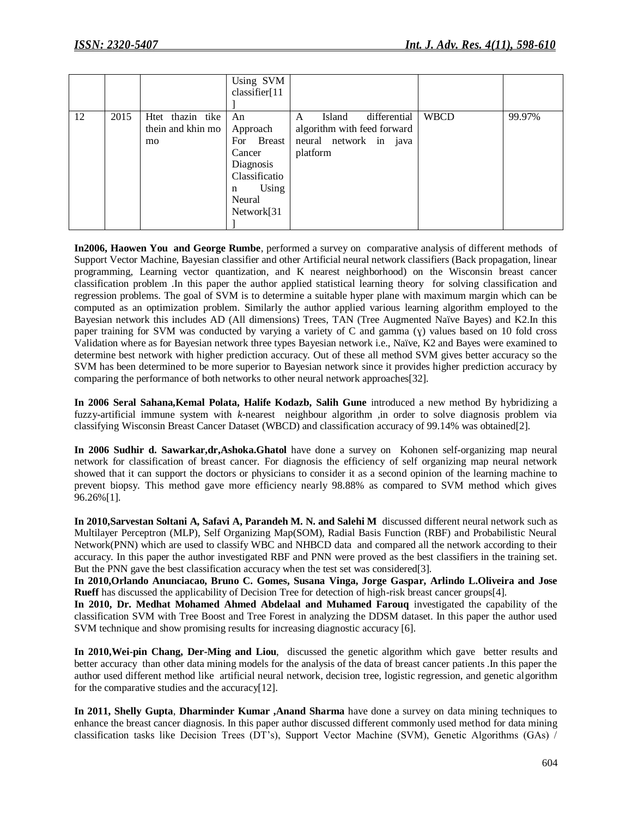|    |      |                                             | Using SVM<br>classifier[11                                                                                  |                                                                                                  |             |        |
|----|------|---------------------------------------------|-------------------------------------------------------------------------------------------------------------|--------------------------------------------------------------------------------------------------|-------------|--------|
|    |      |                                             |                                                                                                             |                                                                                                  |             |        |
| 12 | 2015 | Htet thazin tike<br>thein and khin mo<br>mo | An<br>Approach<br>For Breast<br>Cancer<br>Diagnosis<br>Classificatio<br>Using<br>n<br>Neural<br>Network[31] | differential<br>Island<br>A<br>algorithm with feed forward<br>neural network in java<br>platform | <b>WBCD</b> | 99.97% |

**In2006, Haowen You and George Rumbe**, performed a survey on comparative analysis of different methods of Support Vector Machine, Bayesian classifier and other Artificial neural network classifiers (Back propagation, linear programming, Learning vector quantization, and K nearest neighborhood) on the Wisconsin breast cancer classification problem .In this paper the author applied statistical learning theory for solving classification and regression problems. The goal of SVM is to determine a suitable hyper plane with maximum margin which can be computed as an optimization problem. Similarly the author applied various learning algorithm employed to the Bayesian network this includes AD (All dimensions) Trees, TAN (Tree Augmented Naïve Bayes) and K2.In this paper training for SVM was conducted by varying a variety of C and gamma (ɣ) values based on 10 fold cross Validation where as for Bayesian network three types Bayesian network i.e., Naïve, K2 and Bayes were examined to determine best network with higher prediction accuracy. Out of these all method SVM gives better accuracy so the SVM has been determined to be more superior to Bayesian network since it provides higher prediction accuracy by comparing the performance of both networks to other neural network approaches[32].

**In 2006 Seral Sahana***,***Kemal Polata, Halife Kodazb, Salih Gune** introduced a new method By hybridizing a fuzzy-artificial immune system with *k*-nearest neighbour algorithm ,in order to solve diagnosis problem via classifying Wisconsin Breast Cancer Dataset (WBCD) and classification accuracy of 99.14% was obtained[2].

**In 2006 Sudhir d. Sawarkar,dr,Ashoka.Ghatol** have done a survey on Kohonen self-organizing map neural network for classification of breast cancer. For diagnosis the efficiency of self organizing map neural network showed that it can support the doctors or physicians to consider it as a second opinion of the learning machine to prevent biopsy. This method gave more efficiency nearly 98.88% as compared to SVM method which gives 96.26%[1].

**In 2010,Sarvestan Soltani A, Safavi A, Parandeh M. N. and Salehi M** discussed different neural network such as Multilayer Perceptron (MLP), Self Organizing Map(SOM), Radial Basis Function (RBF) and Probabilistic Neural Network(PNN) which are used to classify WBC and NHBCD data and compared all the network according to their accuracy. In this paper the author investigated RBF and PNN were proved as the best classifiers in the training set. But the PNN gave the best classification accuracy when the test set was considered[3].

**In 2010,Orlando Anunciacao, Bruno C. Gomes, Susana Vinga, Jorge Gaspar, Arlindo L.Oliveira and Jose Rueff** has discussed the applicability of Decision Tree for detection of high-risk breast cancer groups[4].

**In 2010, Dr. Medhat Mohamed Ahmed Abdelaal and Muhamed Farouq** investigated the capability of the classification SVM with Tree Boost and Tree Forest in analyzing the DDSM dataset. In this paper the author used SVM technique and show promising results for increasing diagnostic accuracy [6].

**In 2010,Wei-pin Chang, Der-Ming and Liou**, discussed the genetic algorithm which gave better results and better accuracy than other data mining models for the analysis of the data of breast cancer patients .In this paper the author used different method like artificial neural network, decision tree, logistic regression, and genetic algorithm for the comparative studies and the accuracy[12].

**In 2011, Shelly Gupta**, **Dharminder Kumar ,Anand Sharma** have done a survey on data mining techniques to enhance the breast cancer diagnosis. In this paper author discussed different commonly used method for data mining classification tasks like Decision Trees (DT's), Support Vector Machine (SVM), Genetic Algorithms (GAs) /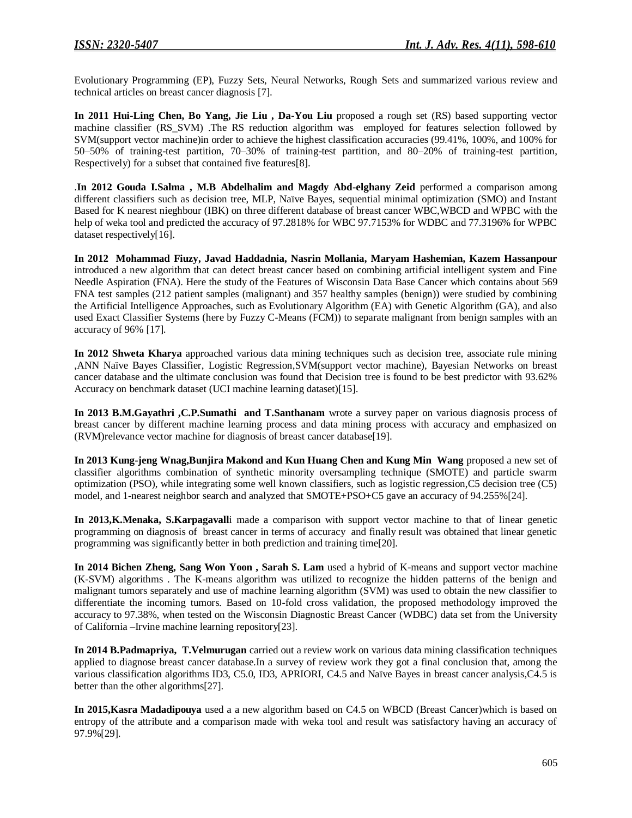Evolutionary Programming (EP), Fuzzy Sets, Neural Networks, Rough Sets and summarized various review and technical articles on breast cancer diagnosis [7].

**In 2011 Hui-Ling Chen, Bo Yang, Jie Liu , Da-You Liu** proposed a rough set (RS) based supporting vector machine classifier (RS\_SVM) .The RS reduction algorithm was employed for features selection followed by SVM(support vector machine)in order to achieve the highest classification accuracies (99.41%, 100%, and 100% for 50–50% of training-test partition, 70–30% of training-test partition, and 80–20% of training-test partition, Respectively) for a subset that contained five features[8].

.**In 2012 Gouda I.Salma , M.B Abdelhalim and Magdy Abd-elghany Zeid** performed a comparison among different classifiers such as decision tree, MLP, Naïve Bayes, sequential minimal optimization (SMO) and Instant Based for K nearest nieghbour (IBK) on three different database of breast cancer WBC,WBCD and WPBC with the help of weka tool and predicted the accuracy of 97.2818% for WBC 97.7153% for WDBC and 77.3196% for WPBC dataset respectively[16].

**In 2012 Mohammad Fiuzy, Javad Haddadnia, Nasrin Mollania, Maryam Hashemian, Kazem Hassanpour** introduced a new algorithm that can detect breast cancer based on combining artificial intelligent system and Fine Needle Aspiration (FNA). Here the study of the Features of Wisconsin Data Base Cancer which contains about 569 FNA test samples (212 patient samples (malignant) and 357 healthy samples (benign)) were studied by combining the Artificial Intelligence Approaches, such as Evolutionary Algorithm (EA) with Genetic Algorithm (GA), and also used Exact Classifier Systems (here by Fuzzy C-Means (FCM)) to separate malignant from benign samples with an accuracy of 96% [17].

**In 2012 Shweta Kharya** approached various data mining techniques such as decision tree, associate rule mining ,ANN Naïve Bayes Classifier, Logistic Regression,SVM(support vector machine), Bayesian Networks on breast cancer database and the ultimate conclusion was found that Decision tree is found to be best predictor with 93.62% Accuracy on benchmark dataset (UCI machine learning dataset)[15].

**In 2013 B.M.Gayathri ,C.P.Sumathi and T.Santhanam** wrote a survey paper on various diagnosis process of breast cancer by different machine learning process and data mining process with accuracy and emphasized on (RVM)relevance vector machine for diagnosis of breast cancer database[19].

**In 2013 Kung-jeng Wnag,Bunjira Makond and Kun Huang Chen and Kung Min Wang** proposed a new set of classifier algorithms combination of synthetic minority oversampling technique (SMOTE) and particle swarm optimization (PSO), while integrating some well known classifiers, such as logistic regression,C5 decision tree (C5) model, and 1-nearest neighbor search and analyzed that SMOTE+PSO+C5 gave an accuracy of 94.255%[24].

**In 2013,K.Menaka, S.Karpagavall**i made a comparison with support vector machine to that of linear genetic programming on diagnosis of breast cancer in terms of accuracy and finally result was obtained that linear genetic programming was significantly better in both prediction and training time[20].

**In 2014 Bichen Zheng, Sang Won Yoon , Sarah S. Lam** used a hybrid of K-means and support vector machine (K-SVM) algorithms . The K-means algorithm was utilized to recognize the hidden patterns of the benign and malignant tumors separately and use of machine learning algorithm (SVM) was used to obtain the new classifier to differentiate the incoming tumors. Based on 10-fold cross validation, the proposed methodology improved the accuracy to 97.38%, when tested on the Wisconsin Diagnostic Breast Cancer (WDBC) data set from the University of California –Irvine machine learning repository[23].

**In 2014 B.Padmapriya, T.Velmurugan** carried out a review work on various data mining classification techniques applied to diagnose breast cancer database.In a survey of review work they got a final conclusion that, among the various classification algorithms ID3, C5.0, ID3, APRIORI, C4.5 and Naïve Bayes in breast cancer analysis,C4.5 is better than the other algorithms[27].

**In 2015,Kasra Madadipouya** used a a new algorithm based on C4.5 on WBCD (Breast Cancer)which is based on entropy of the attribute and a comparison made with weka tool and result was satisfactory having an accuracy of 97.9%[29].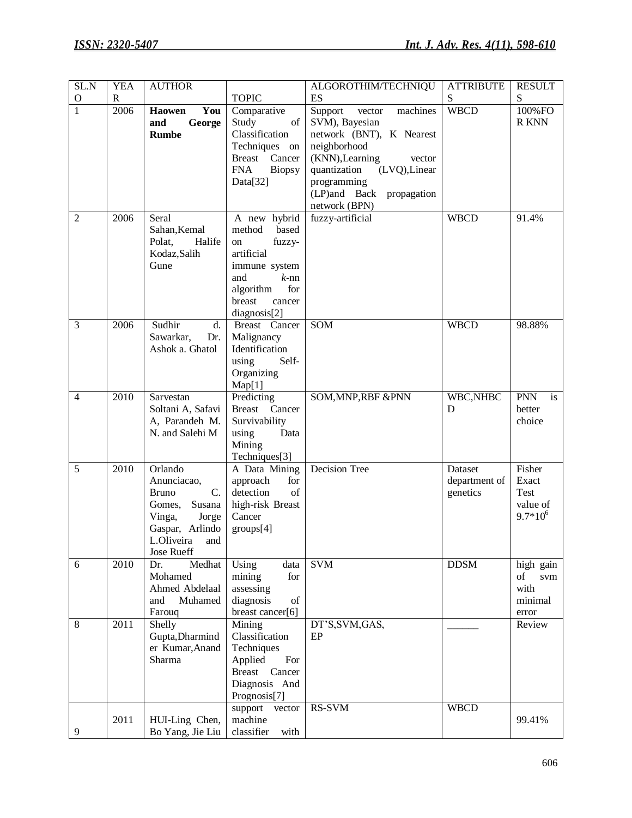| SL.N           | <b>YEA</b>  | <b>AUTHOR</b>                                                                                                                          |                                                                                                                                                          | ALGOROTHIM/TECHNIQU                                                                                                                                                                                                   | <b>ATTRIBUTE</b>                     | RESULT                                              |
|----------------|-------------|----------------------------------------------------------------------------------------------------------------------------------------|----------------------------------------------------------------------------------------------------------------------------------------------------------|-----------------------------------------------------------------------------------------------------------------------------------------------------------------------------------------------------------------------|--------------------------------------|-----------------------------------------------------|
| $\mathbf O$    | $\mathbf R$ |                                                                                                                                        | <b>TOPIC</b>                                                                                                                                             | ES                                                                                                                                                                                                                    | S                                    | S                                                   |
| $\overline{1}$ | 2006        | <b>Haowen</b><br>You<br>and<br>George<br><b>Rumbe</b>                                                                                  | Comparative<br>Study<br>of<br>Classification<br>Techniques on<br>Breast Cancer<br><b>FNA</b><br><b>Biopsy</b><br>Data[32]                                | Support<br>machines<br>vector<br>SVM), Bayesian<br>network (BNT), K Nearest<br>neighborhood<br>(KNN), Learning<br>vector<br>quantization<br>(LVQ), Linear<br>programming<br>(LP)and Back propagation<br>network (BPN) | <b>WBCD</b>                          | 100%FO<br>R KNN                                     |
| $\overline{c}$ | 2006        | Seral<br>Sahan, Kemal<br>Polat,<br>Halife<br>Kodaz, Salih<br>Gune                                                                      | A new hybrid<br>based<br>method<br>fuzzy-<br>on<br>artificial<br>immune system<br>and<br>$k$ -nn<br>algorithm<br>for<br>breast<br>cancer<br>diagnosis[2] | fuzzy-artificial                                                                                                                                                                                                      | <b>WBCD</b>                          | 91.4%                                               |
| $\overline{3}$ | 2006        | Sudhir<br>d.<br>Sawarkar,<br>Dr.<br>Ashok a. Ghatol                                                                                    | Breast Cancer<br>Malignancy<br>Identification<br>using<br>Self-<br>Organizing<br>Map[1]                                                                  | SOM                                                                                                                                                                                                                   | <b>WBCD</b>                          | 98.88%                                              |
| $\overline{4}$ | 2010        | Sarvestan<br>Soltani A, Safavi<br>A, Parandeh M.<br>N. and Salehi M                                                                    | Predicting<br>Breast Cancer<br>Survivability<br>using<br>Data<br>Mining<br>Techniques[3]                                                                 | SOM, MNP, RBF & PNN                                                                                                                                                                                                   | WBC,NHBC<br>D                        | <b>PNN</b><br>is<br>better<br>choice                |
| 5              | 2010        | Orlando<br>Anunciacao,<br><b>Bruno</b><br>C.<br>Gomes,<br>Susana<br>Vinga,<br>Jorge<br>Gaspar, Arlindo<br>L.Oliveira and<br>Jose Rueff | A Data Mining<br>approach<br>for<br>detection<br>of<br>high-risk Breast<br>Cancer<br>groups[4]                                                           | Decision Tree                                                                                                                                                                                                         | Dataset<br>department of<br>genetics | Fisher<br>Exact<br>Test<br>value of<br>$9.7*10^{6}$ |
| 6              | 2010        | Dr.<br>Medhat<br>Mohamed<br>Ahmed Abdelaal<br>Muhamed<br>and<br>Farouq                                                                 | Using<br>data<br>mining<br>for<br>assessing<br>diagnosis<br>of<br>breast cancer[6]                                                                       | <b>SVM</b>                                                                                                                                                                                                            | <b>DDSM</b>                          | high gain<br>of<br>svm<br>with<br>minimal<br>error  |
| 8              | 2011        | Shelly<br>Gupta, Dharmind<br>er Kumar, Anand<br>Sharma                                                                                 | Mining<br>Classification<br>Techniques<br>Applied<br>For<br><b>Breast</b><br>Cancer<br>Diagnosis And<br>Prognosis[7]                                     | DT'S, SVM, GAS,<br>EP                                                                                                                                                                                                 |                                      | Review                                              |
| 9              | 2011        | HUI-Ling Chen,<br>Bo Yang, Jie Liu                                                                                                     | support<br>vector<br>machine<br>classifier<br>with                                                                                                       | RS-SVM                                                                                                                                                                                                                | <b>WBCD</b>                          | 99.41%                                              |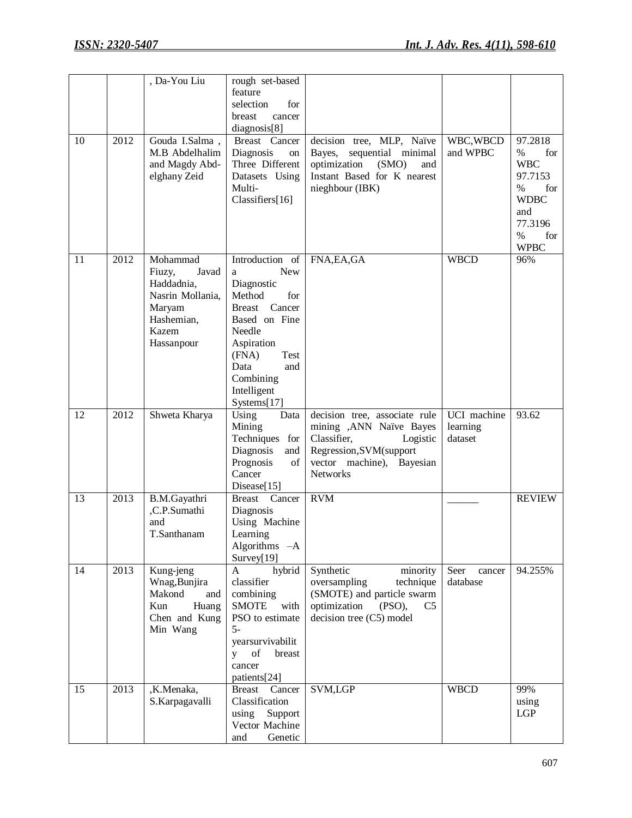|    |      | , Da-You Liu                                                                                                 | rough set-based<br>feature<br>selection<br>for<br>breast<br>cancer<br>diagnosis[8]                                                                                                                     |                                                                                                                                                                 |                                    |                                                                                                                               |
|----|------|--------------------------------------------------------------------------------------------------------------|--------------------------------------------------------------------------------------------------------------------------------------------------------------------------------------------------------|-----------------------------------------------------------------------------------------------------------------------------------------------------------------|------------------------------------|-------------------------------------------------------------------------------------------------------------------------------|
| 10 | 2012 | Gouda I.Salma,<br>M.B Abdelhalim<br>and Magdy Abd-<br>elghany Zeid                                           | Breast Cancer<br>Diagnosis<br>on<br>Three Different<br>Datasets Using<br>Multi-<br>Classifiers[16]                                                                                                     | decision tree, MLP, Naïve<br>sequential minimal<br>Bayes,<br>optimization<br>(SMO)<br>and<br>Instant Based for K nearest<br>nieghbour (IBK)                     | WBC, WBCD<br>and WPBC              | 97.2818<br>$\%$<br>for<br><b>WBC</b><br>97.7153<br>$\%$<br>for<br><b>WDBC</b><br>and<br>77.3196<br>$\%$<br>for<br><b>WPBC</b> |
| 11 | 2012 | Mohammad<br>Fiuzy,<br>Javad<br>Haddadnia,<br>Nasrin Mollania,<br>Maryam<br>Hashemian,<br>Kazem<br>Hassanpour | Introduction of<br><b>New</b><br>a<br>Diagnostic<br>Method<br>for<br>Breast Cancer<br>Based on Fine<br>Needle<br>Aspiration<br>(FNA)<br>Test<br>Data<br>and<br>Combining<br>Intelligent<br>Systems[17] | FNA, EA, GA                                                                                                                                                     | <b>WBCD</b>                        | 96%                                                                                                                           |
| 12 | 2012 | Shweta Kharya                                                                                                | Using<br>Data<br>Mining<br>Techniques for<br>Diagnosis<br>and<br>of<br>Prognosis<br>Cancer<br>Disease[15]                                                                                              | decision tree, associate rule<br>mining , ANN Naïve Bayes<br>Classifier,<br>Logistic<br>Regression, SVM(support<br>vector machine), Bayesian<br><b>Networks</b> | UCI machine<br>learning<br>dataset | 93.62                                                                                                                         |
| 13 | 2013 | B.M.Gayathri<br>,C.P.Sumathi<br>and<br>T.Santhanam                                                           | Breast Cancer<br>Diagnosis<br>Using Machine<br>Learning<br>Algorithms -A<br>Survey $[19]$                                                                                                              | <b>RVM</b>                                                                                                                                                      |                                    | <b>REVIEW</b>                                                                                                                 |
| 14 | 2013 | Kung-jeng<br>Wnag, Bunjira<br>Makond<br>and<br>Kun<br>Huang<br>Chen and Kung<br>Min Wang                     | hybrid<br>A<br>classifier<br>combining<br><b>SMOTE</b><br>with<br>PSO to estimate<br>$5-$<br>yearsurvivabilit<br>of<br>breast<br>y<br>cancer<br>patients[24]                                           | Synthetic<br>minority<br>oversampling<br>technique<br>(SMOTE) and particle swarm<br>optimization<br>(PSO),<br>C <sub>5</sub><br>decision tree (C5) model        | Seer<br>cancer<br>database         | 94.255%                                                                                                                       |
| 15 | 2013 | ,K.Menaka,<br>S.Karpagavalli                                                                                 | Cancer<br><b>Breast</b><br>Classification<br>using<br>Support<br>Vector Machine<br>Genetic<br>and                                                                                                      | SVM,LGP                                                                                                                                                         | <b>WBCD</b>                        | 99%<br>using<br>LGP                                                                                                           |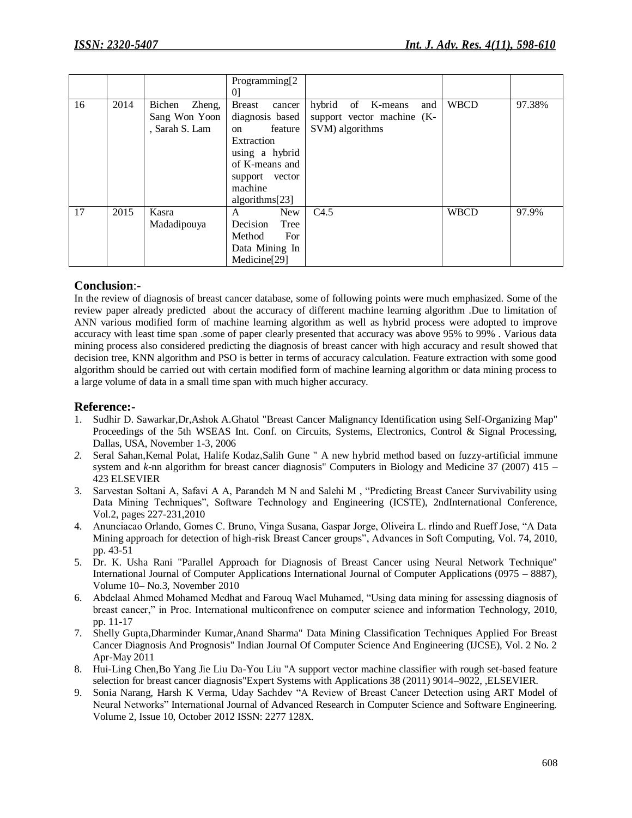|    |      |                  | Programming[2]           |                             |             |        |
|----|------|------------------|--------------------------|-----------------------------|-------------|--------|
|    |      |                  | $\Omega$                 |                             |             |        |
| 16 | 2014 | Bichen<br>Zheng, | <b>Breast</b><br>cancer  | hybrid<br>of K-means<br>and | <b>WBCD</b> | 97.38% |
|    |      | Sang Won Yoon    | diagnosis based          | support vector machine (K-  |             |        |
|    |      | , Sarah S. Lam   | feature<br>on            | SVM) algorithms             |             |        |
|    |      |                  | Extraction               |                             |             |        |
|    |      |                  | using a hybrid           |                             |             |        |
|    |      |                  | of K-means and           |                             |             |        |
|    |      |                  | support vector           |                             |             |        |
|    |      |                  | machine                  |                             |             |        |
|    |      |                  | algorithms $[23]$        |                             |             |        |
| 17 | 2015 | Kasra            | New<br>A                 | C4.5                        | <b>WBCD</b> | 97.9%  |
|    |      | Madadipouya      | Decision<br>Tree         |                             |             |        |
|    |      |                  | Method<br>For            |                             |             |        |
|    |      |                  | Data Mining In           |                             |             |        |
|    |      |                  | Medicine <sup>[29]</sup> |                             |             |        |

# **Conclusion**:-

In the review of diagnosis of breast cancer database, some of following points were much emphasized. Some of the review paper already predicted about the accuracy of different machine learning algorithm .Due to limitation of ANN various modified form of machine learning algorithm as well as hybrid process were adopted to improve accuracy with least time span .some of paper clearly presented that accuracy was above 95% to 99% . Various data mining process also considered predicting the diagnosis of breast cancer with high accuracy and result showed that decision tree, KNN algorithm and PSO is better in terms of accuracy calculation. Feature extraction with some good algorithm should be carried out with certain modified form of machine learning algorithm or data mining process to a large volume of data in a small time span with much higher accuracy.

# **Reference:-**

- 1. Sudhir D. Sawarkar,Dr,Ashok A.Ghatol "Breast Cancer Malignancy Identification using Self-Organizing Map" Proceedings of the 5th WSEAS Int. Conf. on Circuits, Systems, Electronics, Control & Signal Processing, Dallas, USA, November 1-3, 2006
- *2.* Seral Sahan,Kemal Polat, Halife Kodaz,Salih Gune " A new hybrid method based on fuzzy-artificial immune system and *k*-nn algorithm for breast cancer diagnosis" Computers in Biology and Medicine 37 (2007) 415 – 423 ELSEVIER
- 3. Sarvestan Soltani A, Safavi A A, Parandeh M N and Salehi M , "Predicting Breast Cancer Survivability using Data Mining Techniques", Software Technology and Engineering (ICSTE), 2ndInternational Conference, Vol.2, pages 227-231,2010
- 4. Anunciacao Orlando, Gomes C. Bruno, Vinga Susana, Gaspar Jorge, Oliveira L. rlindo and Rueff Jose, "A Data Mining approach for detection of high-risk Breast Cancer groups", Advances in Soft Computing, Vol. 74, 2010, pp. 43-51
- 5. Dr. K. Usha Rani "Parallel Approach for Diagnosis of Breast Cancer using Neural Network Technique" International Journal of Computer Applications International Journal of Computer Applications (0975 – 8887), Volume 10– No.3, November 2010
- 6. Abdelaal Ahmed Mohamed Medhat and Farouq Wael Muhamed, "Using data mining for assessing diagnosis of breast cancer," in Proc. International multiconfrence on computer science and information Technology, 2010, pp. 11-17
- 7. Shelly Gupta,Dharminder Kumar,Anand Sharma" Data Mining Classification Techniques Applied For Breast Cancer Diagnosis And Prognosis" Indian Journal Of Computer Science And Engineering (IJCSE), Vol. 2 No. 2 Apr-May 2011
- 8. Hui-Ling Chen,Bo Yang Jie Liu Da-You Liu "A support vector machine classifier with rough set-based feature selection for breast cancer diagnosis"Expert Systems with Applications 38 (2011) 9014–9022, ,ELSEVIER.
- 9. Sonia Narang, Harsh K Verma, Uday Sachdev "A Review of Breast Cancer Detection using ART Model of Neural Networks" International Journal of Advanced Research in Computer Science and Software Engineering. Volume 2, Issue 10, October 2012 ISSN: 2277 128X.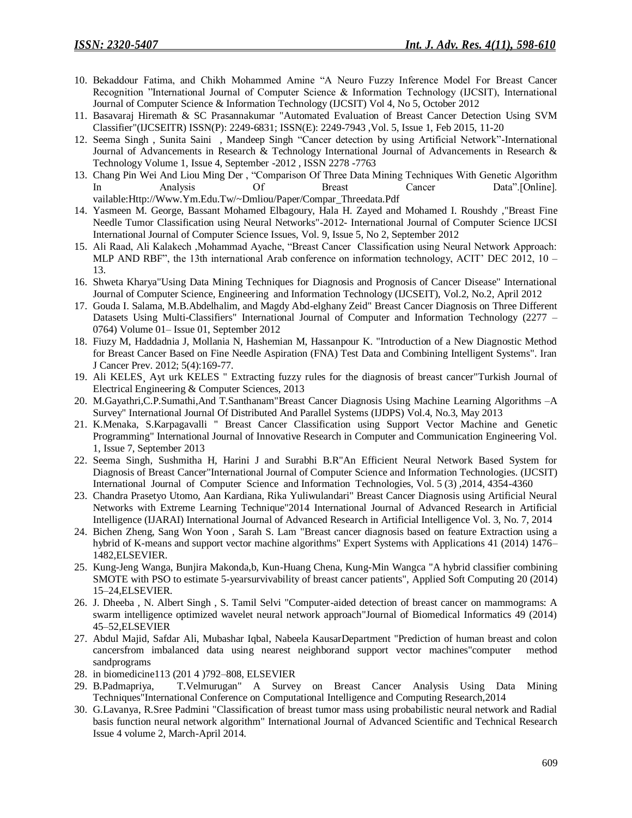- 10. Bekaddour Fatima, and Chikh Mohammed Amine "A Neuro Fuzzy Inference Model For Breast Cancer Recognition "International Journal of Computer Science & Information Technology (IJCSIT), International Journal of Computer Science & Information Technology (IJCSIT) Vol 4, No 5, October 2012
- 11. Basavaraj Hiremath & SC Prasannakumar "Automated Evaluation of Breast Cancer Detection Using SVM Classifier"(IJCSEITR) ISSN(P): 2249-6831; ISSN(E): 2249-7943 ,Vol. 5, Issue 1, Feb 2015, 11-20
- 12. Seema Singh , Sunita Saini , Mandeep Singh "Cancer detection by using Artificial Network"-International Journal of Advancements in Research & Technology International Journal of Advancements in Research & Technology Volume 1, Issue 4, September -2012 , ISSN 2278 -7763
- 13. Chang Pin Wei And Liou Ming Der , "Comparison Of Three Data Mining Techniques With Genetic Algorithm In Analysis Of Breast Cancer Data".[Online]. vailable:Http://Www.Ym.Edu.Tw/~Dmliou/Paper/Compar\_Threedata.Pdf
- 14. Yasmeen M. George, Bassant Mohamed Elbagoury, Hala H. Zayed and Mohamed I. Roushdy ,"Breast Fine Needle Tumor Classification using Neural Networks"-2012- International Journal of Computer Science IJCSI International Journal of Computer Science Issues, Vol. 9, Issue 5, No 2, September 2012
- 15. Ali Raad, Ali Kalakech ,Mohammad Ayache, "Breast Cancer Classification using Neural Network Approach: MLP AND RBF", the 13th international Arab conference on information technology, ACIT' DEC 2012,  $10 -$ 13.
- 16. Shweta Kharya"Using Data Mining Techniques for Diagnosis and Prognosis of Cancer Disease" International Journal of Computer Science, Engineering and Information Technology (IJCSEIT), Vol.2, No.2, April 2012
- 17. Gouda I. Salama, M.B.Abdelhalim, and Magdy Abd-elghany Zeid" Breast Cancer Diagnosis on Three Different Datasets Using Multi-Classifiers" International Journal of Computer and Information Technology (2277 – 0764) Volume 01– Issue 01, September 2012
- 18. Fiuzy M, Haddadnia J, Mollania N, Hashemian M, Hassanpour K. "Introduction of a New Diagnostic Method for Breast Cancer Based on Fine Needle Aspiration (FNA) Test Data and Combining Intelligent Systems". Iran J Cancer Prev. 2012; 5(4):169-77.
- 19. Ali KELES¸ Ayt urk KELES " Extracting fuzzy rules for the diagnosis of breast cancer"Turkish Journal of Electrical Engineering & Computer Sciences, 2013
- 20. M.Gayathri,C.P.Sumathi,And T.Santhanam"Breast Cancer Diagnosis Using Machine Learning Algorithms –A Survey" International Journal Of Distributed And Parallel Systems (IJDPS) Vol.4, No.3, May 2013
- 21. K.Menaka, S.Karpagavalli " Breast Cancer Classification using Support Vector Machine and Genetic Programming" International Journal of Innovative Research in Computer and Communication Engineering Vol. 1, Issue 7, September 2013
- 22. Seema Singh, Sushmitha H, Harini J and Surabhi B.R"An Efficient Neural Network Based System for Diagnosis of Breast Cancer"International Journal of Computer Science and Information Technologies. (IJCSIT) International Journal of Computer Science and Information Technologies, Vol. 5 (3) ,2014, 4354-4360
- 23. Chandra Prasetyo Utomo, Aan Kardiana, Rika Yuliwulandari" Breast Cancer Diagnosis using Artificial Neural Networks with Extreme Learning Technique"2014 International Journal of Advanced Research in Artificial Intelligence (IJARAI) International Journal of Advanced Research in Artificial Intelligence Vol. 3, No. 7, 2014
- 24. Bichen Zheng, Sang Won Yoon , Sarah S. Lam "Breast cancer diagnosis based on feature Extraction using a hybrid of K-means and support vector machine algorithms" Expert Systems with Applications 41 (2014) 1476– 1482,ELSEVIER.
- 25. Kung-Jeng Wanga, Bunjira Makonda,b, Kun-Huang Chena, Kung-Min Wangca "A hybrid classifier combining SMOTE with PSO to estimate 5-yearsurvivability of breast cancer patients", Applied Soft Computing 20 (2014) 15–24,ELSEVIER.
- 26. J. Dheeba , N. Albert Singh , S. Tamil Selvi "Computer-aided detection of breast cancer on mammograms: A swarm intelligence optimized wavelet neural network approach"Journal of Biomedical Informatics 49 (2014) 45–52,ELSEVIER
- 27. Abdul Majid, Safdar Ali, Mubashar Iqbal, Nabeela KausarDepartment "Prediction of human breast and colon cancersfrom imbalanced data using nearest neighborand support vector machines"computer method sandprograms
- 28. in biomedicine113 (201 4 )792–808, ELSEVIER
- 29. B.Padmapriya, T.Velmurugan" A Survey on Breast Cancer Analysis Using Data Mining Techniques"International Conference on Computational Intelligence and Computing Research,2014
- 30. G.Lavanya, R.Sree Padmini "Classification of breast tumor mass using probabilistic neural network and Radial basis function neural network algorithm" International Journal of Advanced Scientific and Technical Research Issue 4 volume 2, March-April 2014.